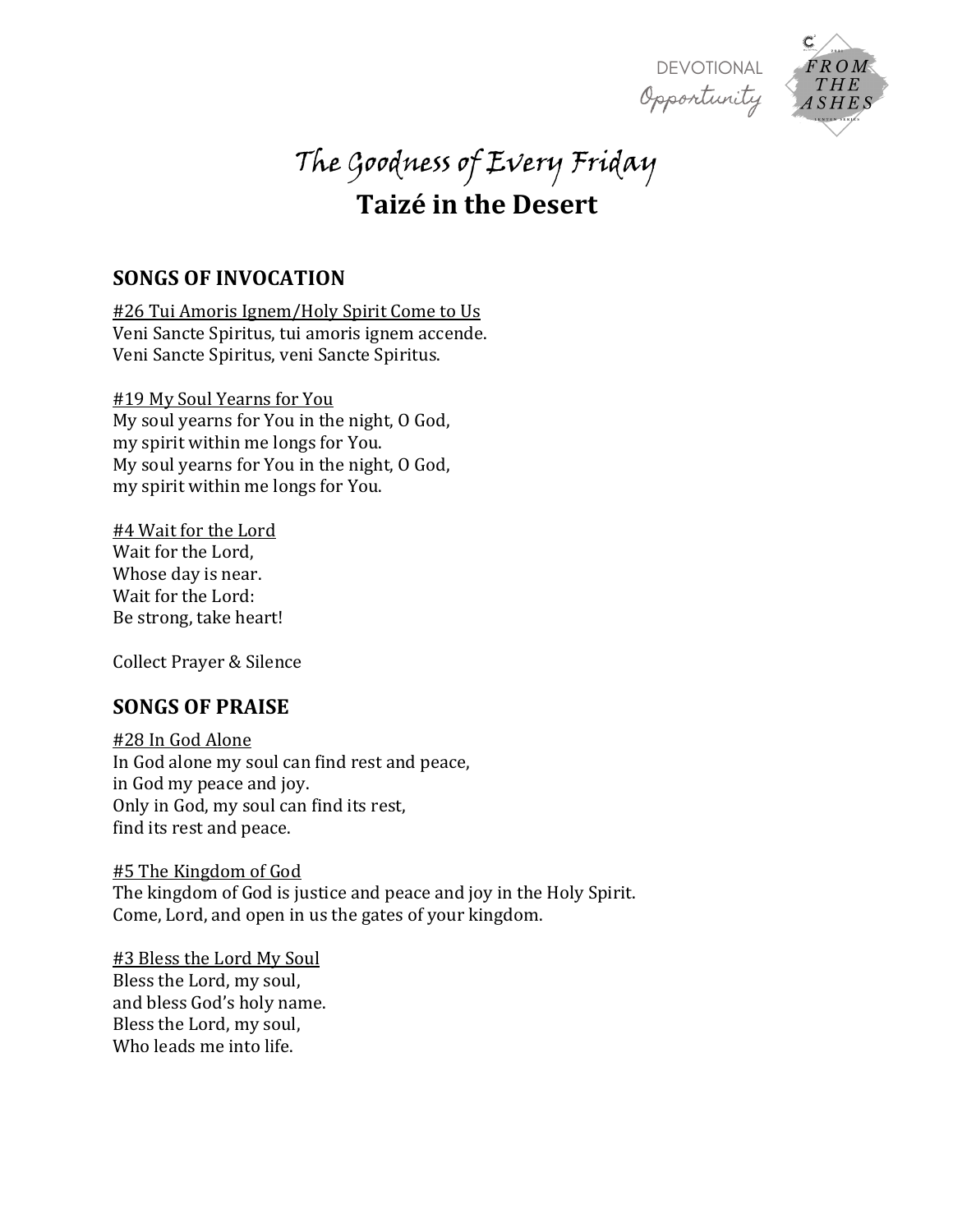



# The Goodness of Every Friday **Taizé in the Desert**

## **SONGS OF INVOCATION**

#26 Tui Amoris Ignem/Holy Spirit Come to Us Veni Sancte Spiritus, tui amoris ignem accende. Veni Sancte Spiritus, veni Sancte Spiritus.

### **#19 My Soul Yearns for You**

My soul yearns for You in the night, O God, my spirit within me longs for You. My soul yearns for You in the night, O God, my spirit within me longs for You.

#4 Wait for the Lord Wait for the Lord, Whose day is near. Wait for the Lord: Be strong, take heart!

Collect Prayer & Silence

## **SONGS OF PRAISE**

#28 In God Alone In God alone my soul can find rest and peace, in God my peace and joy. Only in God, my soul can find its rest, find its rest and peace.

#5 The Kingdom of God The kingdom of God is justice and peace and joy in the Holy Spirit. Come, Lord, and open in us the gates of your kingdom.

#3 Bless the Lord My Soul Bless the Lord, my soul, and bless God's holy name. Bless the Lord, my soul, Who leads me into life.